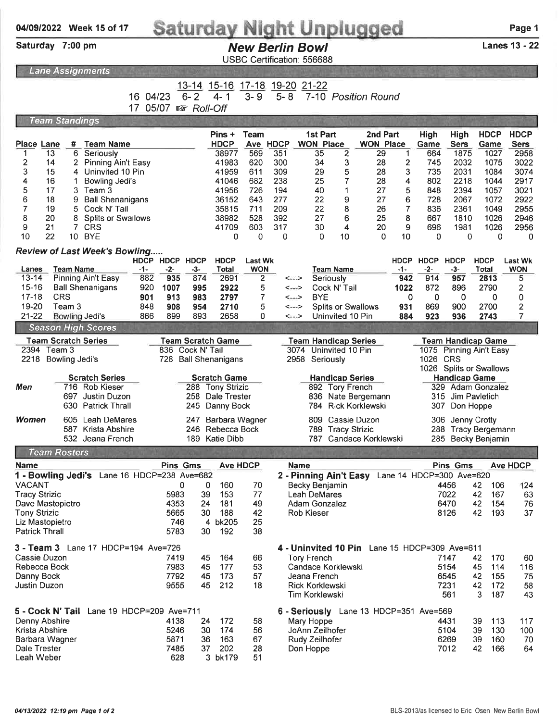## Week 15 of 17

## Saturday Night Unplugged<br>New Berlin Bowl<br>Lanes 13 - 22

Saturday 7:00 pm

**Team Rosters** 

## **New Berlin Bowl**

USBC Certification: 556688

|                            | <u>oormoduon. oooooo</u> |                  |                                      |                            |             |                                         |                       |                      |             |                              |                    |                              |             |              |                     |                     |                           |
|----------------------------|--------------------------|------------------|--------------------------------------|----------------------------|-------------|-----------------------------------------|-----------------------|----------------------|-------------|------------------------------|--------------------|------------------------------|-------------|--------------|---------------------|---------------------|---------------------------|
|                            | <b>Lane Assignments</b>  |                  |                                      |                            |             |                                         |                       |                      |             |                              |                    |                              |             |              |                     |                     |                           |
|                            |                          |                  |                                      | 04/23<br>16<br>05/07<br>17 | 隐           | $13 - 14$<br>$6 - 2$<br><b>Roll-Off</b> | $15 - 16$<br>$4 - 1$  | $17 - 18$<br>$3 - 9$ | $5 - 8$     | 19-20 21-22                  |                    | 7-10 Position Round          |             |              |                     |                     |                           |
|                            | <b>Team Standings</b>    |                  |                                      |                            |             |                                         |                       |                      |             |                              |                    |                              |             |              |                     |                     |                           |
| Place Lane                 |                          | #                | <b>Team Name</b>                     |                            |             |                                         | Pins +<br><b>HDCP</b> | Team<br>Ave          | <b>HDCP</b> | 1st Part<br><b>WON Place</b> |                    | 2nd Part<br><b>WON Place</b> |             | High<br>Game | High<br><b>Sers</b> | <b>HDCP</b><br>Game | <b>HDC</b><br><b>Sers</b> |
|                            | 13                       | 6                | Seriously                            |                            |             |                                         | 38977                 | 569                  | 351         | 35                           | 2                  | 29                           |             | 664          | 1875                | 1027                | 295                       |
| 2                          | 14                       | 2                | <b>Pinning Ain't Easy</b>            |                            |             |                                         | 41983                 | 620                  | 300         | 34                           | 3                  | 28                           | 2           | 745          | 2032                | 1075                | 302                       |
| 3                          | 15                       | 4                | Uninvited 10 Pin                     |                            |             |                                         | 41959                 | 611                  | 309         | 29                           | 5                  | 28                           | 3           | 735          | 2031                | 1084                | 307                       |
| 4                          | 16                       |                  | Bowling Jedi's                       |                            |             |                                         | 41046                 | 682                  | 238         | 25                           |                    | 28                           | 4           | 802          | 2218                | 1044                | 29 <sup>7</sup>           |
| 5                          | 17                       | 3                | Team 3                               |                            |             |                                         | 41956                 | 726                  | 194         | 40                           |                    | 27                           | 5           | 848          | 2394                | 1057                | 302                       |
| 6                          | 18                       |                  | <b>Ball Shenanigans</b>              |                            |             |                                         | 36152                 | 643                  | 277         | 22                           | 9                  | 27                           | 6           | 728          | 2067                | 1072                | 292                       |
|                            | 19                       | 5                | Cock N' Tail                         |                            |             |                                         | 35815                 | 711                  | 209         | 22                           | 8                  | 26                           |             | 836          | 2361                | 1049                | 295                       |
| 8                          | 20                       |                  | <b>Splits or Swallows</b>            |                            |             |                                         | 38982                 | 528                  | 392         | 27                           | 6                  | 25                           | 8           | 667          | 1810                | 1026                | 294                       |
| 9                          | 21                       |                  | <b>CRS</b>                           |                            |             |                                         | 41709                 | 603                  | 317         | 30                           | 4                  | 20                           | 9           | 696          | 1981                | 1026                | 295                       |
| 10                         | 22                       | 10               | <b>BYE</b>                           |                            |             |                                         | 0                     | 0                    | 0           | 0                            | 10                 | 0                            | 10          | 0            | 0                   | 0                   |                           |
|                            |                          |                  | <b>Review of Last Week's Bowling</b> |                            |             |                                         |                       |                      |             |                              |                    |                              |             |              |                     |                     |                           |
|                            |                          |                  |                                      | <b>HDCP</b>                | <b>HDCP</b> | <b>HDCP</b>                             | <b>HDCP</b>           | <b>Last Wk</b>       |             |                              |                    |                              | <b>HDCP</b> | <b>HDCP</b>  | <b>HDCP</b>         | <b>HDCP</b>         | Last W                    |
| Lanes                      |                          | <b>Team Name</b> |                                      | $-1-$                      | $-2-$       | $-3-$                                   | Total                 | <b>WON</b>           |             |                              | <b>Team Name</b>   |                              | $-1-$       | $-2-$        | $-3-$               | Total               | <b>WON</b>                |
| $13 - 14$                  |                          |                  | Pinning Ain't Easy                   | 882                        | 935         | 874                                     | 2691                  | 2                    |             | <--->                        | Seriously          |                              | 942         | 914          | 957                 | 2813                | 5                         |
| $15 - 16$                  |                          |                  | <b>Ball Shenanigans</b>              | 920                        | 1007        | 995                                     | 2922                  | 5                    |             | <--->                        | Cock N' Tail       |                              | 1022        | 872          | 896                 | 2790                | $\overline{\mathbf{c}}$   |
| $17 - 18$                  |                          | <b>CRS</b>       |                                      | 901                        | 913         | 983                                     | 2797                  | 7                    |             | <b>BYE</b><br><---->         |                    |                              | 0           | 0            | 0                   | 0                   | 0                         |
| 19-20                      |                          | Team 3           |                                      | 848                        | 908         | 954                                     | 2710                  | 5                    |             | <--->                        | Splits or Swallows |                              | 931         | 869          | 900                 | 2700                | $\overline{\mathbf{c}}$   |
| $21 - 22$                  |                          |                  | Bowling Jedi's                       | 866                        | 899         | 893                                     | 2658                  | 0                    |             | $\leftarrow$                 | Uninvited 10 Pin   |                              | 884         | 923          | 936                 | 2743                | 7                         |
|                            |                          |                  | <b>Season High Scores</b>            |                            |             |                                         |                       |                      |             |                              |                    |                              |             |              |                     |                     |                           |
| <b>Team Scratch Series</b> |                          |                  |                                      |                            |             |                                         | Team Scratch Game     |                      |             | <b>Team Handicap Series</b>  |                    |                              |             |              | Team Handicap Game  |                     |                           |

|              | <b>Team Scratch Series</b> | Team Scratch Game    | <b>Team Handicap Series</b> | <b>Team Handicap Game</b> |  |  |  |  |
|--------------|----------------------------|----------------------|-----------------------------|---------------------------|--|--|--|--|
| 2394 Team 3  |                            | 836 Cock N' Tail     | 3074 Uninvited 10 Pin       | 1075 Pinning Ain't Easy   |  |  |  |  |
|              | 2218 Bowling Jedi's        | 728 Ball Shenanigans | 2958 Seriously              | 1026 CRS                  |  |  |  |  |
|              |                            |                      |                             | 1026 Splits or Swallows   |  |  |  |  |
|              | <b>Scratch Series</b>      | <b>Scratch Game</b>  | <b>Handicap Series</b>      | <b>Handicap Game</b>      |  |  |  |  |
| Men          | 716 Rob Kieser             | 288 Tony Strizic     | 892 Tory French             | 329 Adam Gonzalez         |  |  |  |  |
|              | 697 Justin Duzon           | 258 Dale Trester     | 836 Nate Bergemann          | 315 Jim Payletich         |  |  |  |  |
|              | 630 Patrick Thrall         | 245 Danny Bock       | 784 Rick Korklewski         | 307 Don Hoppe             |  |  |  |  |
| <b>Women</b> | 605 Leah DeMares           | 247 Barbara Wagner   | 809 Cassie Duzon            | 306 Jenny Crotty          |  |  |  |  |
|              | 587 Krista Abshire         | 246 Rebecca Bock     | 789 Tracy Strizic           | 288 Tracy Bergemann       |  |  |  |  |
|              | 532 Jeana French           | 189 Katie Dibb       | 787 Candace Korklewski      | 285 Becky Benjamin        |  |  |  |  |

|      |                                                  |                                      |                                                | Name                   |      |                                                    |                                                                                                 | <b>Ave HDCP</b>          |
|------|--------------------------------------------------|--------------------------------------|------------------------------------------------|------------------------|------|----------------------------------------------------|-------------------------------------------------------------------------------------------------|--------------------------|
|      |                                                  |                                      |                                                |                        |      |                                                    |                                                                                                 |                          |
| 0    | $\Omega$                                         | 160                                  | 70                                             | Becky Benjamin         |      | 42                                                 | 106                                                                                             | 124                      |
| 5983 | 39                                               | 153                                  | 77                                             | Leah DeMares           |      | 42                                                 | 167                                                                                             | 63                       |
| 4353 | 24                                               | 181                                  | 49                                             | Adam Gonzalez          |      | 42                                                 | 154                                                                                             | 76                       |
| 5665 | 30                                               | 188                                  | 42                                             | <b>Rob Kieser</b>      |      | 42                                                 | 193                                                                                             | 37                       |
| 746  |                                                  |                                      | 25                                             |                        |      |                                                    |                                                                                                 |                          |
| 5783 | 30                                               | 192                                  | 38                                             |                        |      |                                                    |                                                                                                 |                          |
|      | 4 - Uninvited 10 Pin<br>Lane 15 HDCP=309 Ave=611 |                                      |                                                |                        |      |                                                    |                                                                                                 |                          |
| 7419 | 45                                               | 164                                  | 66                                             | Tory French            |      | 42                                                 | 170                                                                                             | 60                       |
| 7983 | 45                                               | 177                                  | 53                                             | Candace Korklewski     |      | 45                                                 | 114                                                                                             | 116                      |
| 7792 | 45                                               | 173                                  | 57                                             | Jeana French           |      | 42                                                 | 155                                                                                             | 75                       |
| 9555 | 45                                               | 212                                  | 18                                             | <b>Rick Korklewski</b> | 7231 | 42                                                 | 172                                                                                             | 58                       |
|      |                                                  |                                      |                                                | Tim Korklewski         | 561  | 3                                                  | 187                                                                                             | 43                       |
|      | 6 - Seriously                                    |                                      |                                                |                        |      |                                                    |                                                                                                 |                          |
| 4138 | 24                                               | 172                                  | 58                                             | Mary Hoppe             | 4431 | 39                                                 | 113                                                                                             | 117                      |
| 5246 | 30                                               | 174                                  | 56                                             | JoAnn Zeilhofer        |      | 39                                                 | 130                                                                                             | 100                      |
| 5871 | 36                                               | 163                                  | 67                                             | Rudy Zeilhofer         |      | 39                                                 | 160                                                                                             | 70                       |
| 7485 | 37                                               | 202                                  | 28                                             | Don Hoppe              |      | 42                                                 | 166                                                                                             | 64                       |
| 628  |                                                  |                                      | 51                                             |                        |      |                                                    |                                                                                                 |                          |
|      | <b>3 - Team 3</b> Lane 17 HDCP=194 Ave=726       | Pins Gms<br>Lane 19 HDCP=209 Ave=711 | Lane 16 HDCP=238 Ave=682<br>4 bk205<br>3 bk179 | <b>Ave HDCP</b>        |      | 2 - Pinning Ain't Easy<br>Lane 13 HDCP=351 Ave=569 | <b>Pins Gms</b><br>4456<br>7022<br>6470<br>8126<br>7147<br>5154<br>6545<br>5104<br>6269<br>7012 | Lane 14 HDCP=300 Ave=620 |

HDCP HDCP Game

Last Wk<br>WON